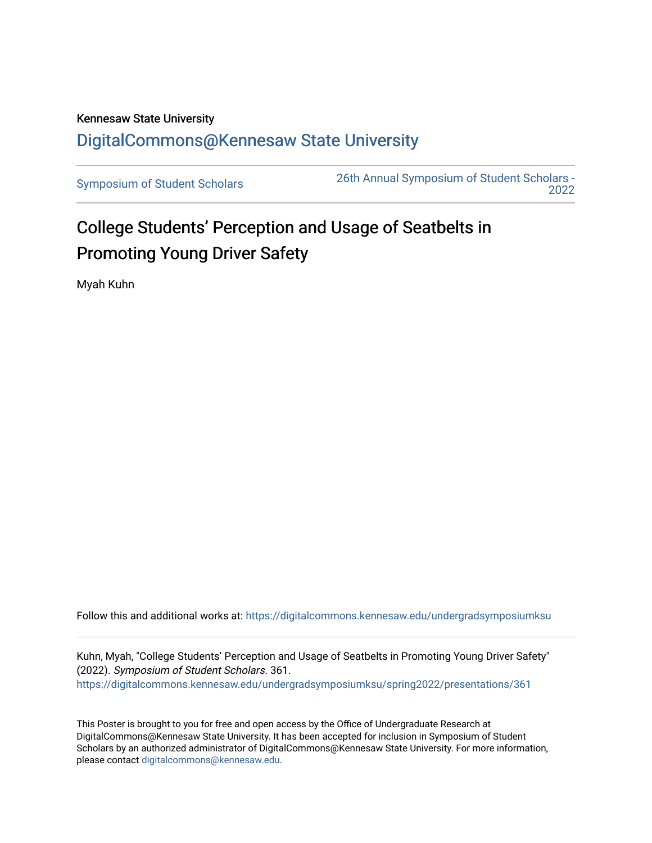# Kennesaw State University [DigitalCommons@Kennesaw State University](https://digitalcommons.kennesaw.edu/)

[Symposium of Student Scholars](https://digitalcommons.kennesaw.edu/undergradsymposiumksu) [26th Annual Symposium of Student Scholars -](https://digitalcommons.kennesaw.edu/undergradsymposiumksu/spring2022)  [2022](https://digitalcommons.kennesaw.edu/undergradsymposiumksu/spring2022) 

# College Students' Perception and Usage of Seatbelts in Promoting Young Driver Safety

Myah Kuhn

Follow this and additional works at: [https://digitalcommons.kennesaw.edu/undergradsymposiumksu](https://digitalcommons.kennesaw.edu/undergradsymposiumksu?utm_source=digitalcommons.kennesaw.edu%2Fundergradsymposiumksu%2Fspring2022%2Fpresentations%2F361&utm_medium=PDF&utm_campaign=PDFCoverPages) 

Kuhn, Myah, "College Students' Perception and Usage of Seatbelts in Promoting Young Driver Safety" (2022). Symposium of Student Scholars. 361. [https://digitalcommons.kennesaw.edu/undergradsymposiumksu/spring2022/presentations/361](https://digitalcommons.kennesaw.edu/undergradsymposiumksu/spring2022/presentations/361?utm_source=digitalcommons.kennesaw.edu%2Fundergradsymposiumksu%2Fspring2022%2Fpresentations%2F361&utm_medium=PDF&utm_campaign=PDFCoverPages)

This Poster is brought to you for free and open access by the Office of Undergraduate Research at DigitalCommons@Kennesaw State University. It has been accepted for inclusion in Symposium of Student Scholars by an authorized administrator of DigitalCommons@Kennesaw State University. For more information, please contact [digitalcommons@kennesaw.edu.](mailto:digitalcommons@kennesaw.edu)